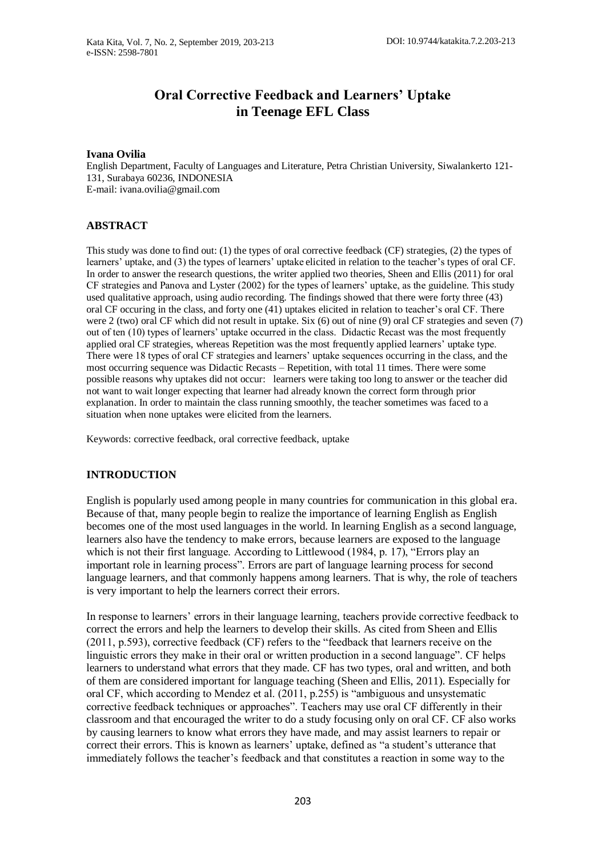# **Oral Corrective Feedback and Learners' Uptake in Teenage EFL Class**

### **Ivana Ovilia**

English Department, Faculty of Languages and Literature, Petra Christian University, Siwalankerto 121- 131, Surabaya 60236, INDONESIA E-mail: ivana.ovilia@gmail.com

# **ABSTRACT**

This study was done to find out: (1) the types of oral corrective feedback (CF) strategies, (2) the types of learners' uptake, and (3) the types of learners' uptake elicited in relation to the teacher's types of oral CF. In order to answer the research questions, the writer applied two theories, Sheen and Ellis (2011) for oral CF strategies and Panova and Lyster (2002) for the types of learners' uptake, as the guideline. This study used qualitative approach, using audio recording. The findings showed that there were forty three (43) oral CF occuring in the class, and forty one (41) uptakes elicited in relation to teacher's oral CF. There were 2 (two) oral CF which did not result in uptake. Six (6) out of nine (9) oral CF strategies and seven (7) out of ten (10) types of learners' uptake occurred in the class. Didactic Recast was the most frequently applied oral CF strategies, whereas Repetition was the most frequently applied learners' uptake type. There were 18 types of oral CF strategies and learners' uptake sequences occurring in the class, and the most occurring sequence was Didactic Recasts – Repetition, with total 11 times. There were some possible reasons why uptakes did not occur: learners were taking too long to answer or the teacher did not want to wait longer expecting that learner had already known the correct form through prior explanation. In order to maintain the class running smoothly, the teacher sometimes was faced to a situation when none uptakes were elicited from the learners.

Keywords: corrective feedback, oral corrective feedback, uptake

# **INTRODUCTION**

English is popularly used among people in many countries for communication in this global era. Because of that, many people begin to realize the importance of learning English as English becomes one of the most used languages in the world. In learning English as a second language, learners also have the tendency to make errors, because learners are exposed to the language which is not their first language. According to Littlewood (1984, p. 17), "Errors play an important role in learning process". Errors are part of language learning process for second language learners, and that commonly happens among learners. That is why, the role of teachers is very important to help the learners correct their errors.

In response to learners' errors in their language learning, teachers provide corrective feedback to correct the errors and help the learners to develop their skills. As cited from Sheen and Ellis (2011, p.593), corrective feedback (CF) refers to the "feedback that learners receive on the linguistic errors they make in their oral or written production in a second language". CF helps learners to understand what errors that they made. CF has two types, oral and written, and both of them are considered important for language teaching (Sheen and Ellis, 2011). Especially for oral CF, which according to Mendez et al. (2011, p.255) is "ambiguous and unsystematic corrective feedback techniques or approaches". Teachers may use oral CF differently in their classroom and that encouraged the writer to do a study focusing only on oral CF. CF also works by causing learners to know what errors they have made, and may assist learners to repair or correct their errors. This is known as learners' uptake, defined as "a student's utterance that immediately follows the teacher's feedback and that constitutes a reaction in some way to the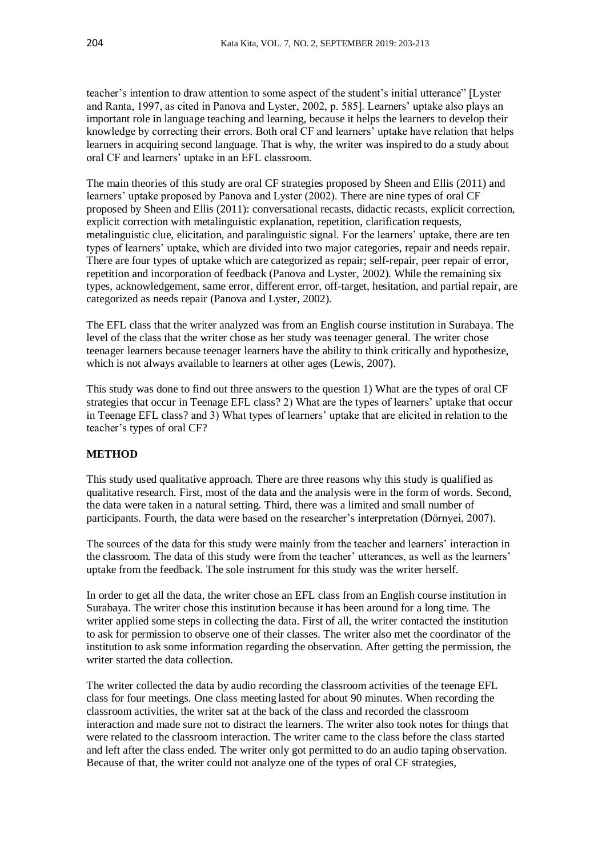teacher's intention to draw attention to some aspect of the student's initial utterance" [Lyster and Ranta, 1997, as cited in Panova and Lyster, 2002, p. 585]. Learners' uptake also plays an important role in language teaching and learning, because it helps the learners to develop their knowledge by correcting their errors. Both oral CF and learners' uptake have relation that helps learners in acquiring second language. That is why, the writer was inspired to do a study about oral CF and learners' uptake in an EFL classroom.

The main theories of this study are oral CF strategies proposed by Sheen and Ellis (2011) and learners' uptake proposed by Panova and Lyster (2002). There are nine types of oral CF proposed by Sheen and Ellis (2011): conversational recasts, didactic recasts, explicit correction, explicit correction with metalinguistic explanation, repetition, clarification requests, metalinguistic clue, elicitation, and paralinguistic signal. For the learners' uptake, there are ten types of learners' uptake, which are divided into two major categories, repair and needs repair. There are four types of uptake which are categorized as repair; self-repair, peer repair of error, repetition and incorporation of feedback (Panova and Lyster, 2002). While the remaining six types, acknowledgement, same error, different error, off-target, hesitation, and partial repair, are categorized as needs repair (Panova and Lyster, 2002).

The EFL class that the writer analyzed was from an English course institution in Surabaya. The level of the class that the writer chose as her study was teenager general. The writer chose teenager learners because teenager learners have the ability to think critically and hypothesize, which is not always available to learners at other ages (Lewis, 2007).

This study was done to find out three answers to the question 1) What are the types of oral CF strategies that occur in Teenage EFL class? 2) What are the types of learners' uptake that occur in Teenage EFL class? and 3) What types of learners' uptake that are elicited in relation to the teacher's types of oral CF?

# **METHOD**

This study used qualitative approach. There are three reasons why this study is qualified as qualitative research. First, most of the data and the analysis were in the form of words. Second, the data were taken in a natural setting. Third, there was a limited and small number of participants. Fourth, the data were based on the researcher's interpretation (Dörnyei, 2007).

The sources of the data for this study were mainly from the teacher and learners' interaction in the classroom. The data of this study were from the teacher' utterances, as well as the learners' uptake from the feedback. The sole instrument for this study was the writer herself.

In order to get all the data, the writer chose an EFL class from an English course institution in Surabaya. The writer chose this institution because it has been around for a long time*.* The writer applied some steps in collecting the data. First of all, the writer contacted the institution to ask for permission to observe one of their classes. The writer also met the coordinator of the institution to ask some information regarding the observation. After getting the permission, the writer started the data collection.

The writer collected the data by audio recording the classroom activities of the teenage EFL class for four meetings. One class meeting lasted for about 90 minutes. When recording the classroom activities, the writer sat at the back of the class and recorded the classroom interaction and made sure not to distract the learners. The writer also took notes for things that were related to the classroom interaction. The writer came to the class before the class started and left after the class ended. The writer only got permitted to do an audio taping observation. Because of that, the writer could not analyze one of the types of oral CF strategies,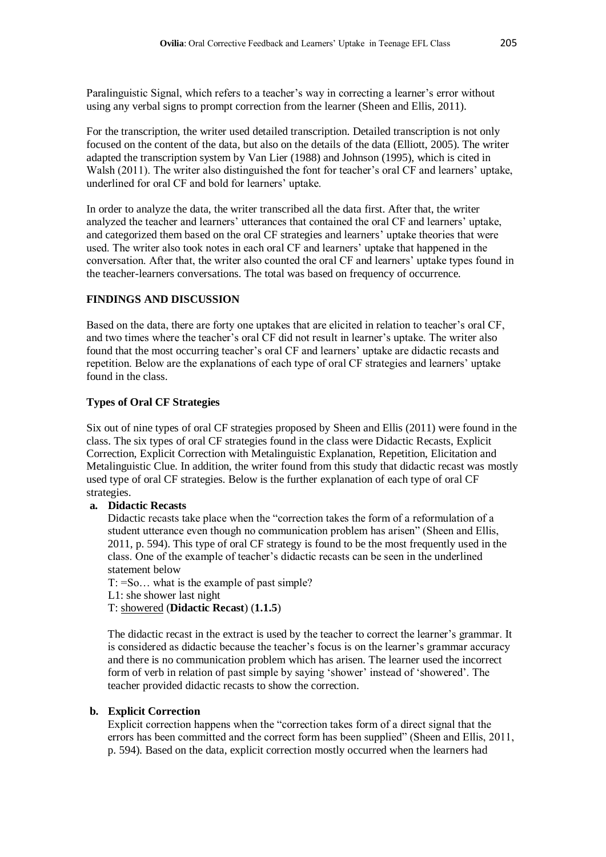Paralinguistic Signal, which refers to a teacher's way in correcting a learner's error without using any verbal signs to prompt correction from the learner (Sheen and Ellis, 2011).

For the transcription, the writer used detailed transcription. Detailed transcription is not only focused on the content of the data, but also on the details of the data (Elliott, 2005). The writer adapted the transcription system by Van Lier (1988) and Johnson (1995), which is cited in Walsh (2011). The writer also distinguished the font for teacher's oral CF and learners' uptake, underlined for oral CF and bold for learners' uptake.

In order to analyze the data, the writer transcribed all the data first. After that, the writer analyzed the teacher and learners' utterances that contained the oral CF and learners' uptake, and categorized them based on the oral CF strategies and learners' uptake theories that were used. The writer also took notes in each oral CF and learners' uptake that happened in the conversation. After that, the writer also counted the oral CF and learners' uptake types found in the teacher-learners conversations. The total was based on frequency of occurrence.

# **FINDINGS AND DISCUSSION**

Based on the data, there are forty one uptakes that are elicited in relation to teacher's oral CF, and two times where the teacher's oral CF did not result in learner's uptake. The writer also found that the most occurring teacher's oral CF and learners' uptake are didactic recasts and repetition. Below are the explanations of each type of oral CF strategies and learners' uptake found in the class.

# **Types of Oral CF Strategies**

Six out of nine types of oral CF strategies proposed by Sheen and Ellis (2011) were found in the class. The six types of oral CF strategies found in the class were Didactic Recasts, Explicit Correction, Explicit Correction with Metalinguistic Explanation, Repetition, Elicitation and Metalinguistic Clue. In addition, the writer found from this study that didactic recast was mostly used type of oral CF strategies. Below is the further explanation of each type of oral CF strategies.

# **a. Didactic Recasts**

Didactic recasts take place when the "correction takes the form of a reformulation of a student utterance even though no communication problem has arisen" (Sheen and Ellis, 2011, p. 594). This type of oral CF strategy is found to be the most frequently used in the class. One of the example of teacher's didactic recasts can be seen in the underlined statement below

T: =So… what is the example of past simple?

L1: she shower last night

T: showered (**Didactic Recast**) (**1.1.5**)

The didactic recast in the extract is used by the teacher to correct the learner's grammar. It is considered as didactic because the teacher's focus is on the learner's grammar accuracy and there is no communication problem which has arisen. The learner used the incorrect form of verb in relation of past simple by saying 'shower' instead of 'showered'. The teacher provided didactic recasts to show the correction.

# **b. Explicit Correction**

Explicit correction happens when the "correction takes form of a direct signal that the errors has been committed and the correct form has been supplied" (Sheen and Ellis, 2011, p. 594). Based on the data, explicit correction mostly occurred when the learners had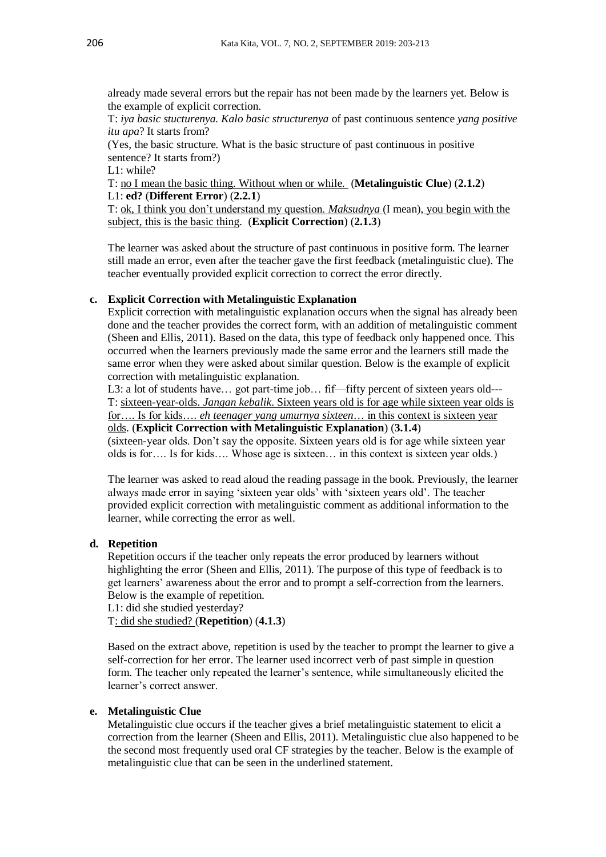already made several errors but the repair has not been made by the learners yet. Below is the example of explicit correction.

T: *iya basic stucturenya. Kalo basic structurenya* of past continuous sentence *yang positive itu apa*? It starts from?

(Yes, the basic structure. What is the basic structure of past continuous in positive sentence? It starts from?)

L1: while?

T: no I mean the basic thing. Without when or while. (**Metalinguistic Clue**) (**2.1.2**) L1: **ed?** (**Different Error**) (**2.2.1**)

T: ok, I think you don't understand my question. *Maksudnya* (I mean), you begin with the subject, this is the basic thing. (**Explicit Correction**) (**2.1.3**)

The learner was asked about the structure of past continuous in positive form. The learner still made an error, even after the teacher gave the first feedback (metalinguistic clue). The teacher eventually provided explicit correction to correct the error directly.

# **c. Explicit Correction with Metalinguistic Explanation**

Explicit correction with metalinguistic explanation occurs when the signal has already been done and the teacher provides the correct form, with an addition of metalinguistic comment (Sheen and Ellis, 2011). Based on the data, this type of feedback only happened once. This occurred when the learners previously made the same error and the learners still made the same error when they were asked about similar question. Below is the example of explicit correction with metalinguistic explanation.

L3: a lot of students have... got part-time job... fif—fifty percent of sixteen years old---T: sixteen-year-olds. *Jangan kebalik*. Sixteen years old is for age while sixteen year olds is for…. Is for kids…. *eh teenager yang umurnya sixteen*… in this context is sixteen year olds. (**Explicit Correction with Metalinguistic Explanation**) (**3.1.4**)

(sixteen-year olds. Don't say the opposite. Sixteen years old is for age while sixteen year olds is for…. Is for kids…. Whose age is sixteen… in this context is sixteen year olds.)

The learner was asked to read aloud the reading passage in the book. Previously, the learner always made error in saying 'sixteen year olds' with 'sixteen years old'. The teacher provided explicit correction with metalinguistic comment as additional information to the learner, while correcting the error as well.

### **d. Repetition**

Repetition occurs if the teacher only repeats the error produced by learners without highlighting the error (Sheen and Ellis, 2011). The purpose of this type of feedback is to get learners' awareness about the error and to prompt a self-correction from the learners. Below is the example of repetition.

L1: did she studied yesterday?

T: did she studied? (**Repetition**) (**4.1.3**)

Based on the extract above, repetition is used by the teacher to prompt the learner to give a self-correction for her error. The learner used incorrect verb of past simple in question form. The teacher only repeated the learner's sentence, while simultaneously elicited the learner's correct answer.

#### **e. Metalinguistic Clue**

Metalinguistic clue occurs if the teacher gives a brief metalinguistic statement to elicit a correction from the learner (Sheen and Ellis, 2011). Metalinguistic clue also happened to be the second most frequently used oral CF strategies by the teacher. Below is the example of metalinguistic clue that can be seen in the underlined statement.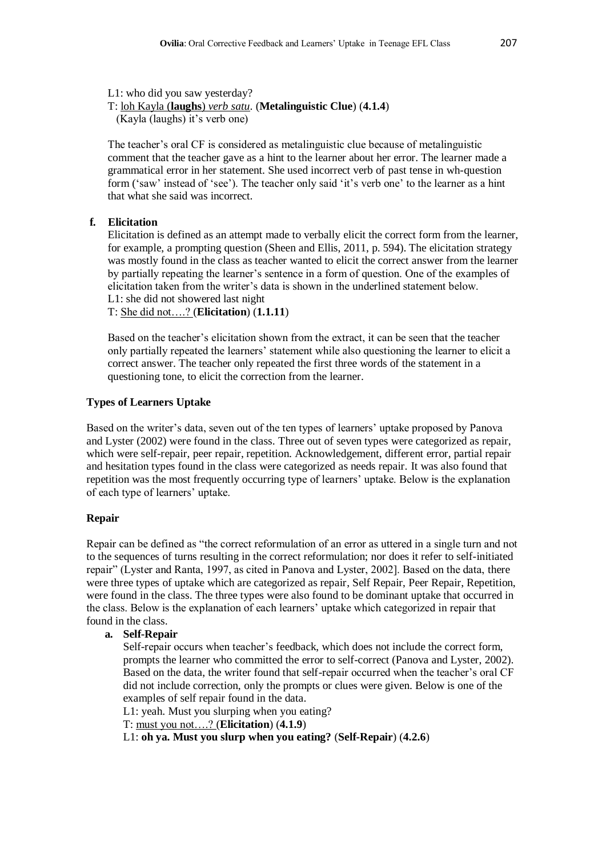L1: who did you saw yesterday?

T: loh Kayla (**laughs**) *verb satu*. (**Metalinguistic Clue**) (**4.1.4**)

(Kayla (laughs) it's verb one)

The teacher's oral CF is considered as metalinguistic clue because of metalinguistic comment that the teacher gave as a hint to the learner about her error. The learner made a grammatical error in her statement. She used incorrect verb of past tense in wh-question form ('saw' instead of 'see'). The teacher only said 'it's verb one' to the learner as a hint that what she said was incorrect.

# **f. Elicitation**

Elicitation is defined as an attempt made to verbally elicit the correct form from the learner, for example, a prompting question (Sheen and Ellis, 2011, p. 594). The elicitation strategy was mostly found in the class as teacher wanted to elicit the correct answer from the learner by partially repeating the learner's sentence in a form of question. One of the examples of elicitation taken from the writer's data is shown in the underlined statement below. L1: she did not showered last night

T: She did not….? (**Elicitation**) (**1.1.11**)

Based on the teacher's elicitation shown from the extract, it can be seen that the teacher only partially repeated the learners' statement while also questioning the learner to elicit a correct answer. The teacher only repeated the first three words of the statement in a questioning tone, to elicit the correction from the learner.

# **Types of Learners Uptake**

Based on the writer's data, seven out of the ten types of learners' uptake proposed by Panova and Lyster (2002) were found in the class. Three out of seven types were categorized as repair, which were self-repair, peer repair, repetition. Acknowledgement, different error, partial repair and hesitation types found in the class were categorized as needs repair. It was also found that repetition was the most frequently occurring type of learners' uptake. Below is the explanation of each type of learners' uptake.

# **Repair**

Repair can be defined as "the correct reformulation of an error as uttered in a single turn and not to the sequences of turns resulting in the correct reformulation; nor does it refer to self-initiated repair" (Lyster and Ranta, 1997, as cited in Panova and Lyster, 2002]. Based on the data, there were three types of uptake which are categorized as repair, Self Repair, Peer Repair, Repetition, were found in the class. The three types were also found to be dominant uptake that occurred in the class. Below is the explanation of each learners' uptake which categorized in repair that found in the class.

#### **a. Self-Repair**

Self-repair occurs when teacher's feedback, which does not include the correct form, prompts the learner who committed the error to self-correct (Panova and Lyster, 2002). Based on the data, the writer found that self-repair occurred when the teacher's oral CF did not include correction, only the prompts or clues were given. Below is one of the examples of self repair found in the data.

L1: yeah. Must you slurping when you eating?

T: must you not….? (**Elicitation**) (**4.1.9**)

L1: **oh ya. Must you slurp when you eating?** (**Self-Repair**) (**4.2.6**)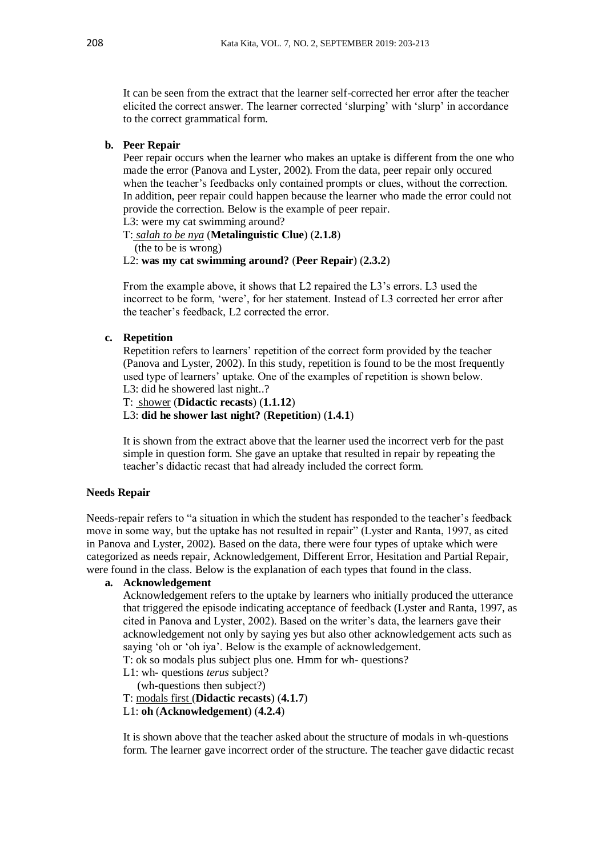It can be seen from the extract that the learner self-corrected her error after the teacher elicited the correct answer. The learner corrected 'slurping' with 'slurp' in accordance to the correct grammatical form.

### **b. Peer Repair**

Peer repair occurs when the learner who makes an uptake is different from the one who made the error (Panova and Lyster, 2002). From the data, peer repair only occured when the teacher's feedbacks only contained prompts or clues, without the correction. In addition, peer repair could happen because the learner who made the error could not provide the correction. Below is the example of peer repair.

L3: were my cat swimming around?

T: *salah to be nya* (**Metalinguistic Clue**) (**2.1.8**) (the to be is wrong)

L2: **was my cat swimming around?** (**Peer Repair**) (**2.3.2**)

From the example above, it shows that L2 repaired the L3's errors. L3 used the incorrect to be form, 'were', for her statement. Instead of L3 corrected her error after the teacher's feedback, L2 corrected the error.

### **c. Repetition**

Repetition refers to learners' repetition of the correct form provided by the teacher (Panova and Lyster, 2002). In this study, repetition is found to be the most frequently used type of learners' uptake. One of the examples of repetition is shown below. L3: did he showered last night..?

T: shower (**Didactic recasts**) (**1.1.12**)

L3: **did he shower last night?** (**Repetition**) (**1.4.1**)

It is shown from the extract above that the learner used the incorrect verb for the past simple in question form. She gave an uptake that resulted in repair by repeating the teacher's didactic recast that had already included the correct form.

### **Needs Repair**

Needs-repair refers to "a situation in which the student has responded to the teacher's feedback move in some way, but the uptake has not resulted in repair" (Lyster and Ranta, 1997, as cited in Panova and Lyster, 2002). Based on the data, there were four types of uptake which were categorized as needs repair, Acknowledgement, Different Error, Hesitation and Partial Repair, were found in the class. Below is the explanation of each types that found in the class.

### **a. Acknowledgement**

Acknowledgement refers to the uptake by learners who initially produced the utterance that triggered the episode indicating acceptance of feedback (Lyster and Ranta, 1997, as cited in Panova and Lyster, 2002). Based on the writer's data, the learners gave their acknowledgement not only by saying yes but also other acknowledgement acts such as saying 'oh or 'oh iya'. Below is the example of acknowledgement.

T: ok so modals plus subject plus one. Hmm for wh- questions?

L1: wh- questions *terus* subject?

(wh-questions then subject?)

- T: modals first (**Didactic recasts**) (**4.1.7**)
- L1: **oh** (**Acknowledgement**) (**4.2.4**)

It is shown above that the teacher asked about the structure of modals in wh-questions form. The learner gave incorrect order of the structure. The teacher gave didactic recast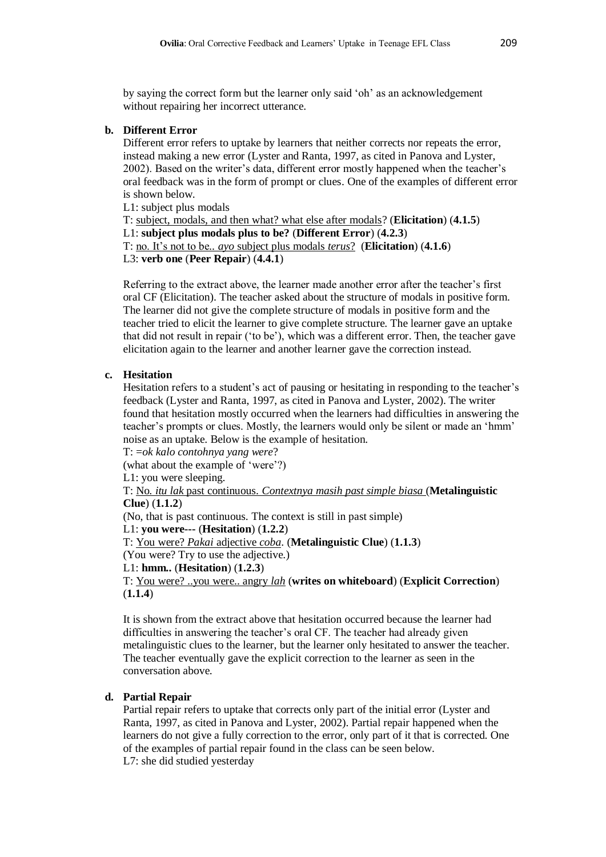by saying the correct form but the learner only said 'oh' as an acknowledgement without repairing her incorrect utterance.

### **b. Different Error**

Different error refers to uptake by learners that neither corrects nor repeats the error, instead making a new error (Lyster and Ranta, 1997, as cited in Panova and Lyster, 2002). Based on the writer's data, different error mostly happened when the teacher's oral feedback was in the form of prompt or clues. One of the examples of different error is shown below.

L1: subject plus modals

T: subject, modals, and then what? what else after modals? (**Elicitation**) (**4.1.5**) L1: **subject plus modals plus to be?** (**Different Error**) (**4.2.3**) T: no. It's not to be*.. ayo* subject plus modals *terus*? (**Elicitation**) (**4.1.6**) L3: **verb one** (**Peer Repair**) (**4.4.1**)

Referring to the extract above, the learner made another error after the teacher's first oral CF (Elicitation). The teacher asked about the structure of modals in positive form. The learner did not give the complete structure of modals in positive form and the teacher tried to elicit the learner to give complete structure. The learner gave an uptake that did not result in repair ('to be'), which was a different error. Then, the teacher gave elicitation again to the learner and another learner gave the correction instead.

# **c. Hesitation**

Hesitation refers to a student's act of pausing or hesitating in responding to the teacher's feedback (Lyster and Ranta, 1997, as cited in Panova and Lyster, 2002). The writer found that hesitation mostly occurred when the learners had difficulties in answering the teacher's prompts or clues. Mostly, the learners would only be silent or made an 'hmm' noise as an uptake. Below is the example of hesitation.

T: =*ok kalo contohnya yang were*?

(what about the example of 'were'?)

L1: you were sleeping.

T: No*. itu lak* past continuous. *Contextnya masih past simple biasa* (**Metalinguistic Clue**) (**1.1.2**)

(No, that is past continuous. The context is still in past simple)

L1: **you were---** (**Hesitation**) (**1.2.2**)

```
T: You were? Pakai adjective coba. (Metalinguistic Clue) (1.1.3)
```
(You were? Try to use the adjective.)

L1: **hmm..** (**Hesitation**) (**1.2.3**)

T: You were? ..you were.. angry *lah* (**writes on whiteboard**) (**Explicit Correction**) (**1.1.4**)

It is shown from the extract above that hesitation occurred because the learner had difficulties in answering the teacher's oral CF. The teacher had already given metalinguistic clues to the learner, but the learner only hesitated to answer the teacher. The teacher eventually gave the explicit correction to the learner as seen in the conversation above.

# **d. Partial Repair**

Partial repair refers to uptake that corrects only part of the initial error (Lyster and Ranta, 1997, as cited in Panova and Lyster, 2002). Partial repair happened when the learners do not give a fully correction to the error, only part of it that is corrected. One of the examples of partial repair found in the class can be seen below. L7: she did studied yesterday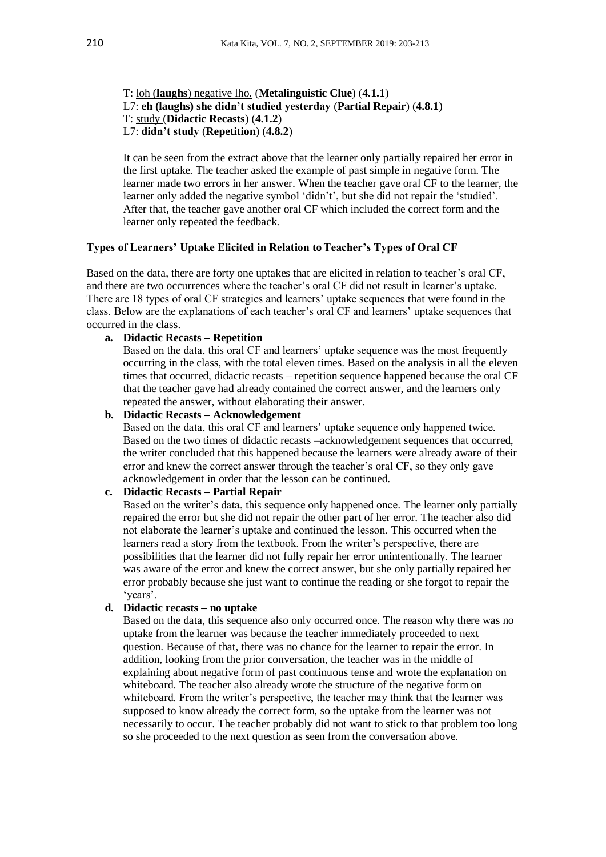## T: loh (**laughs**) negative lho. (**Metalinguistic Clue**) (**4.1.1**) L7: **eh (laughs) she didn't studied yesterday** (**Partial Repair**) (**4.8.1**) T: study (**Didactic Recasts**) (**4.1.2**) L7: **didn't study** (**Repetition**) (**4.8.2**)

It can be seen from the extract above that the learner only partially repaired her error in the first uptake. The teacher asked the example of past simple in negative form. The learner made two errors in her answer. When the teacher gave oral CF to the learner, the learner only added the negative symbol 'didn't', but she did not repair the 'studied'. After that, the teacher gave another oral CF which included the correct form and the learner only repeated the feedback.

#### **Types of Learners' Uptake Elicited in Relation toTeacher's Types of Oral CF**

Based on the data, there are forty one uptakes that are elicited in relation to teacher's oral CF, and there are two occurrences where the teacher's oral CF did not result in learner's uptake. There are 18 types of oral CF strategies and learners' uptake sequences that were found in the class. Below are the explanations of each teacher's oral CF and learners' uptake sequences that occurred in the class.

### **a. Didactic Recasts – Repetition**

Based on the data, this oral CF and learners' uptake sequence was the most frequently occurring in the class, with the total eleven times. Based on the analysis in all the eleven times that occurred, didactic recasts – repetition sequence happened because the oral CF that the teacher gave had already contained the correct answer, and the learners only repeated the answer, without elaborating their answer.

#### **b. Didactic Recasts – Acknowledgement**

Based on the data, this oral CF and learners' uptake sequence only happened twice. Based on the two times of didactic recasts –acknowledgement sequences that occurred, the writer concluded that this happened because the learners were already aware of their error and knew the correct answer through the teacher's oral CF, so they only gave acknowledgement in order that the lesson can be continued.

#### **c. Didactic Recasts – Partial Repair**

Based on the writer's data, this sequence only happened once. The learner only partially repaired the error but she did not repair the other part of her error. The teacher also did not elaborate the learner's uptake and continued the lesson. This occurred when the learners read a story from the textbook. From the writer's perspective, there are possibilities that the learner did not fully repair her error unintentionally. The learner was aware of the error and knew the correct answer, but she only partially repaired her error probably because she just want to continue the reading or she forgot to repair the 'years'.

# **d. Didactic recasts – no uptake**

Based on the data, this sequence also only occurred once. The reason why there was no uptake from the learner was because the teacher immediately proceeded to next question. Because of that, there was no chance for the learner to repair the error. In addition, looking from the prior conversation, the teacher was in the middle of explaining about negative form of past continuous tense and wrote the explanation on whiteboard. The teacher also already wrote the structure of the negative form on whiteboard. From the writer's perspective, the teacher may think that the learner was supposed to know already the correct form, so the uptake from the learner was not necessarily to occur. The teacher probably did not want to stick to that problem too long so she proceeded to the next question as seen from the conversation above.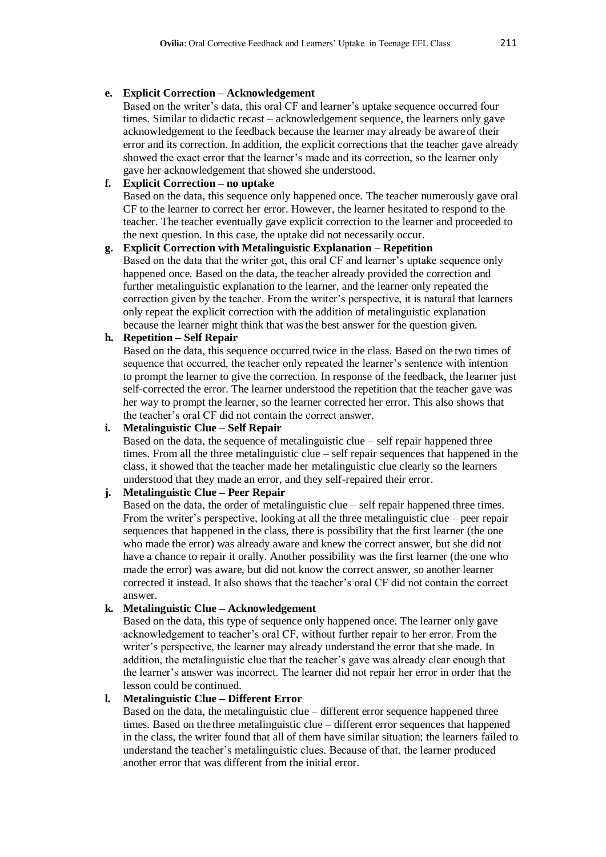### **e. Explicit Correction – Acknowledgement**

Based on the writer's data, this oral CF and learner's uptake sequence occurred four times. Similar to didactic recast – acknowledgement sequence, the learners only gave acknowledgement to the feedback because the learner may already be aware of their error and its correction. In addition, the explicit corrections that the teacher gave already showed the exact error that the learner's made and its correction, so the learner only gave her acknowledgement that showed she understood.

# **f. Explicit Correction – no uptake**

Based on the data, this sequence only happened once. The teacher numerously gave oral CF to the learner to correct her error. However, the learner hesitated to respond to the teacher. The teacher eventually gave explicit correction to the learner and proceeded to the next question. In this case, the uptake did not necessarily occur.

# **g. Explicit Correction with Metalinguistic Explanation – Repetition**

Based on the data that the writer got, this oral CF and learner's uptake sequence only happened once. Based on the data, the teacher already provided the correction and further metalinguistic explanation to the learner, and the learner only repeated the correction given by the teacher. From the writer's perspective, it is natural that learners only repeat the explicit correction with the addition of metalinguistic explanation because the learner might think that wasthe best answer for the question given.

# **h. Repetition – Self Repair**

Based on the data, this sequence occurred twice in the class. Based on the two times of sequence that occurred, the teacher only repeated the learner's sentence with intention to prompt the learner to give the correction. In response of the feedback, the learner just self-corrected the error. The learner understood the repetition that the teacher gave was her way to prompt the learner, so the learner corrected her error. This also shows that the teacher's oral CF did not contain the correct answer.

# **i. Metalinguistic Clue – Self Repair**

Based on the data, the sequence of metalinguistic clue – self repair happened three times. From all the three metalinguistic clue – self repair sequences that happened in the class, it showed that the teacher made her metalinguistic clue clearly so the learners understood that they made an error, and they self-repaired their error.

# **j. Metalinguistic Clue – Peer Repair**

Based on the data, the order of metalinguistic clue – self repair happened three times. From the writer's perspective, looking at all the three metalinguistic clue – peer repair sequences that happened in the class, there is possibility that the first learner (the one who made the error) was already aware and knew the correct answer, but she did not have a chance to repair it orally. Another possibility was the first learner (the one who made the error) was aware, but did not know the correct answer, so another learner corrected it instead. It also shows that the teacher's oral CF did not contain the correct answer.

# **k. Metalinguistic Clue – Acknowledgement**

Based on the data, this type of sequence only happened once. The learner only gave acknowledgement to teacher's oral CF, without further repair to her error. From the writer's perspective, the learner may already understand the error that she made. In addition, the metalinguistic clue that the teacher's gave was already clear enough that the learner's answer was incorrect. The learner did not repair her error in order that the lesson could be continued.

# **l. Metalinguistic Clue – Different Error**

Based on the data, the metalinguistic clue  $-$  different error sequence happened three times. Based on the three metalinguistic clue – different error sequences that happened in the class, the writer found that all of them have similar situation; the learners failed to understand the teacher's metalinguistic clues. Because of that, the learner produced another error that was different from the initial error.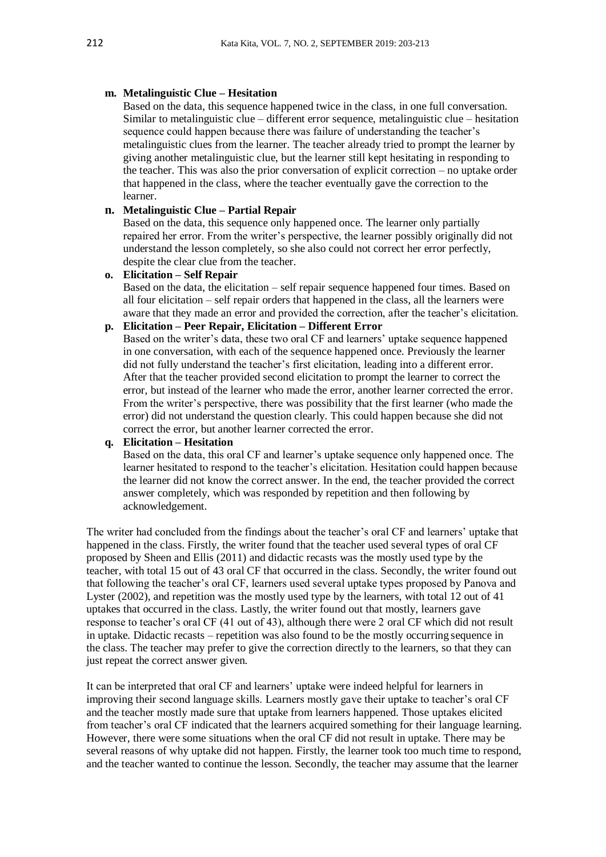### **m. Metalinguistic Clue – Hesitation**

Based on the data, this sequence happened twice in the class, in one full conversation. Similar to metalinguistic clue – different error sequence, metalinguistic clue – hesitation sequence could happen because there was failure of understanding the teacher's metalinguistic clues from the learner. The teacher already tried to prompt the learner by giving another metalinguistic clue, but the learner still kept hesitating in responding to the teacher. This was also the prior conversation of explicit correction – no uptake order that happened in the class, where the teacher eventually gave the correction to the learner.

# **n. Metalinguistic Clue – Partial Repair**

Based on the data, this sequence only happened once. The learner only partially repaired her error. From the writer's perspective, the learner possibly originally did not understand the lesson completely, so she also could not correct her error perfectly, despite the clear clue from the teacher.

### **o. Elicitation – Self Repair**

Based on the data, the elicitation – self repair sequence happened four times. Based on all four elicitation – self repair orders that happened in the class, all the learners were aware that they made an error and provided the correction, after the teacher's elicitation.

#### **p. Elicitation – Peer Repair, Elicitation – Different Error**

Based on the writer's data, these two oral CF and learners' uptake sequence happened in one conversation, with each of the sequence happened once. Previously the learner did not fully understand the teacher's first elicitation, leading into a different error. After that the teacher provided second elicitation to prompt the learner to correct the error, but instead of the learner who made the error, another learner corrected the error. From the writer's perspective, there was possibility that the first learner (who made the error) did not understand the question clearly. This could happen because she did not correct the error, but another learner corrected the error.

# **q. Elicitation – Hesitation**

Based on the data, this oral CF and learner's uptake sequence only happened once. The learner hesitated to respond to the teacher's elicitation. Hesitation could happen because the learner did not know the correct answer. In the end, the teacher provided the correct answer completely, which was responded by repetition and then following by acknowledgement.

The writer had concluded from the findings about the teacher's oral CF and learners' uptake that happened in the class. Firstly, the writer found that the teacher used several types of oral CF proposed by Sheen and Ellis (2011) and didactic recasts was the mostly used type by the teacher, with total 15 out of 43 oral CF that occurred in the class. Secondly, the writer found out that following the teacher's oral CF, learners used several uptake types proposed by Panova and Lyster (2002), and repetition was the mostly used type by the learners, with total 12 out of 41 uptakes that occurred in the class. Lastly, the writer found out that mostly, learners gave response to teacher's oral CF (41 out of 43), although there were 2 oral CF which did not result in uptake. Didactic recasts – repetition was also found to be the mostly occurring sequence in the class. The teacher may prefer to give the correction directly to the learners, so that they can just repeat the correct answer given.

It can be interpreted that oral CF and learners' uptake were indeed helpful for learners in improving their second language skills. Learners mostly gave their uptake to teacher's oral CF and the teacher mostly made sure that uptake from learners happened. Those uptakes elicited from teacher's oral CF indicated that the learners acquired something for their language learning. However, there were some situations when the oral CF did not result in uptake. There may be several reasons of why uptake did not happen. Firstly, the learner took too much time to respond, and the teacher wanted to continue the lesson. Secondly, the teacher may assume that the learner